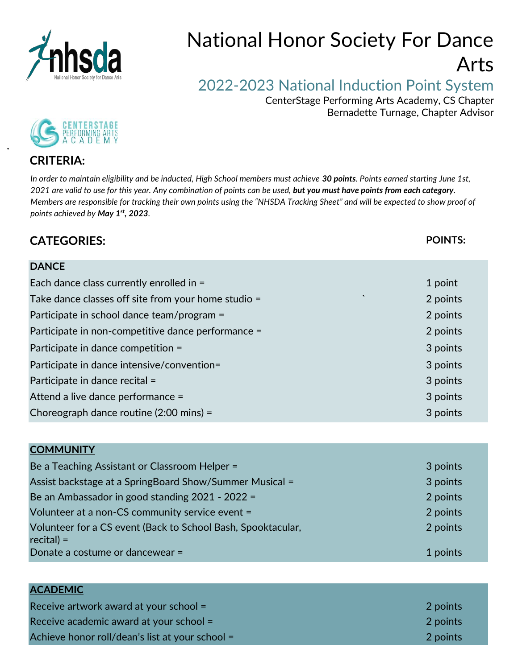

## National Honor Society For Dance Arts

## 2022-2023 National Induction Point System

 CenterStage Performing Arts Academy, CS Chapter Bernadette Turnage, Chapter Advisor



## **CRITERIA:**

*In order to maintain eligibility and be inducted, High School members must achieve 30 points. Points earned starting June 1st, 2021 are valid to use for this year. Any combination of points can be used, but you must have points from each category. Members are responsible for tracking their own points using the "NHSDA Tracking Sheet" and will be expected to show proof of points achieved by May 1st, 2023.*

## **CATEGORIES: POINTS:**

| <b>DANCE</b>                                                   |          |
|----------------------------------------------------------------|----------|
| Each dance class currently enrolled in =                       | 1 point  |
| $\cdot$<br>Take dance classes off site from your home studio = | 2 points |
| Participate in school dance team/program =                     | 2 points |
| Participate in non-competitive dance performance =             | 2 points |
| Participate in dance competition =                             | 3 points |
| Participate in dance intensive/convention=                     | 3 points |
| Participate in dance recital =                                 | 3 points |
| Attend a live dance performance =                              | 3 points |
| Choreograph dance routine $(2:00 \text{ mins}) =$              | 3 points |

| <b>COMMUNITY</b>                                                            |          |
|-----------------------------------------------------------------------------|----------|
| Be a Teaching Assistant or Classroom Helper =                               | 3 points |
| Assist backstage at a SpringBoard Show/Summer Musical =                     | 3 points |
| Be an Ambassador in good standing 2021 - 2022 =                             | 2 points |
| Volunteer at a non-CS community service event =                             | 2 points |
| Volunteer for a CS event (Back to School Bash, Spooktacular,<br>$recital$ = | 2 points |
| Donate a costume or dancewear =                                             | 1 points |

| <b>ACADEMIC</b>                                 |          |
|-------------------------------------------------|----------|
| Receive artwork award at your school $=$        | 2 points |
| Receive academic award at your school =         | 2 points |
| Achieve honor roll/dean's list at your school = | 2 points |